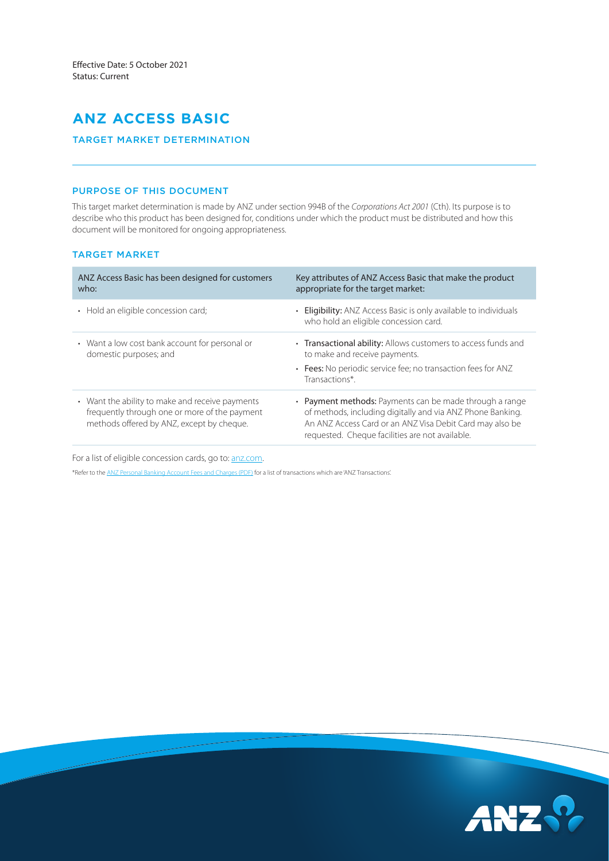# **ANZ ACCESS BASIC**

## TARGET MARKET DETERMINATION

# PURPOSE OF THIS DOCUMENT

This target market determination is made by ANZ under section 994B of the *Corporations Act 2001* (Cth). Its purpose is to describe who this product has been designed for, conditions under which the product must be distributed and how this document will be monitored for ongoing appropriateness.

# TARGET MARKET

| ANZ Access Basic has been designed for customers<br>who:                                                                                      | Key attributes of ANZ Access Basic that make the product<br>appropriate for the target market:                                                                                                                                       |  |
|-----------------------------------------------------------------------------------------------------------------------------------------------|--------------------------------------------------------------------------------------------------------------------------------------------------------------------------------------------------------------------------------------|--|
| • Hold an eligible concession card;                                                                                                           | • Eligibility: ANZ Access Basic is only available to individuals<br>who hold an eligible concession card.                                                                                                                            |  |
| • Want a low cost bank account for personal or<br>domestic purposes; and                                                                      | • Transactional ability: Allows customers to access funds and<br>to make and receive payments.                                                                                                                                       |  |
|                                                                                                                                               | • Fees: No periodic service fee; no transaction fees for ANZ<br>Transactions*.                                                                                                                                                       |  |
| • Want the ability to make and receive payments<br>frequently through one or more of the payment<br>methods offered by ANZ, except by cheque. | • Payment methods: Payments can be made through a range<br>of methods, including digitally and via ANZ Phone Banking.<br>An ANZ Access Card or an ANZ Visa Debit Card may also be<br>requested. Cheque facilities are not available. |  |

For a list of eligible concession cards, go to: [anz.com.](https://www.anz.com.au/personal/bank-accounts/everyday-accounts/access-basic/)

\*Refer to the [ANZ Personal Banking Account Fees and Charges \(PDF\)](https://www.anz.com.au/content/dam/anzcomau/documents/pdf/personal-account-fees-charges.pdf) for a list of transactions which are 'ANZ Transactions'.

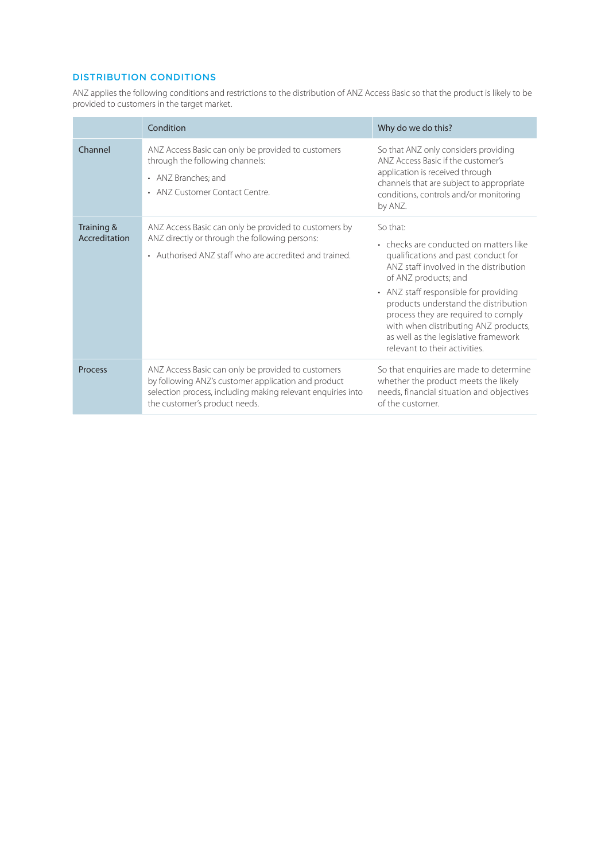# DISTRIBUTION CONDITIONS

ANZ applies the following conditions and restrictions to the distribution of ANZ Access Basic so that the product is likely to be provided to customers in the target market.

|                             | Condition                                                                                                                                                                                                 | Why do we do this?                                                                                                                                                                                                                                                                                                                                                                                   |
|-----------------------------|-----------------------------------------------------------------------------------------------------------------------------------------------------------------------------------------------------------|------------------------------------------------------------------------------------------------------------------------------------------------------------------------------------------------------------------------------------------------------------------------------------------------------------------------------------------------------------------------------------------------------|
| Channel                     | ANZ Access Basic can only be provided to customers<br>through the following channels:<br>• ANZ Branches; and<br>• ANZ Customer Contact Centre.                                                            | So that ANZ only considers providing<br>ANZ Access Basic if the customer's<br>application is received through<br>channels that are subject to appropriate<br>conditions, controls and/or monitoring<br>by ANZ.                                                                                                                                                                                       |
| Training &<br>Accreditation | ANZ Access Basic can only be provided to customers by<br>ANZ directly or through the following persons:<br>• Authorised ANZ staff who are accredited and trained.                                         | So that:<br>• checks are conducted on matters like<br>qualifications and past conduct for<br>ANZ staff involved in the distribution<br>of ANZ products; and<br>• ANZ staff responsible for providing<br>products understand the distribution<br>process they are required to comply<br>with when distributing ANZ products,<br>as well as the legislative framework<br>relevant to their activities. |
| <b>Process</b>              | ANZ Access Basic can only be provided to customers<br>by following ANZ's customer application and product<br>selection process, including making relevant enquiries into<br>the customer's product needs. | So that enquiries are made to determine<br>whether the product meets the likely<br>needs, financial situation and objectives<br>of the customer.                                                                                                                                                                                                                                                     |